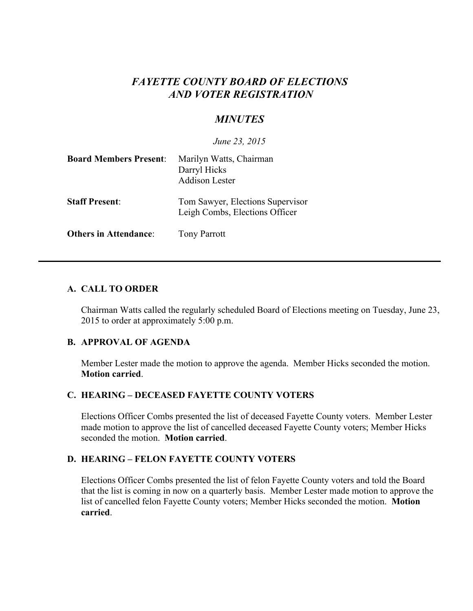# *FAYETTE COUNTY BOARD OF ELECTIONS AND VOTER REGISTRATION*

# *MINUTES*

*June 23, 2015*

| <b>Board Members Present:</b> | Marilyn Watts, Chairman<br>Darryl Hicks<br><b>Addison Lester</b>   |
|-------------------------------|--------------------------------------------------------------------|
| <b>Staff Present:</b>         | Tom Sawyer, Elections Supervisor<br>Leigh Combs, Elections Officer |
| <b>Others in Attendance:</b>  | <b>Tony Parrott</b>                                                |

### **A. CALL TO ORDER**

Chairman Watts called the regularly scheduled Board of Elections meeting on Tuesday, June 23, 2015 to order at approximately 5:00 p.m.

### **B. APPROVAL OF AGENDA**

Member Lester made the motion to approve the agenda. Member Hicks seconded the motion. **Motion carried**.

## **C. HEARING – DECEASED FAYETTE COUNTY VOTERS**

Elections Officer Combs presented the list of deceased Fayette County voters. Member Lester made motion to approve the list of cancelled deceased Fayette County voters; Member Hicks seconded the motion. **Motion carried**.

### **D. HEARING – FELON FAYETTE COUNTY VOTERS**

Elections Officer Combs presented the list of felon Fayette County voters and told the Board that the list is coming in now on a quarterly basis. Member Lester made motion to approve the list of cancelled felon Fayette County voters; Member Hicks seconded the motion. **Motion carried**.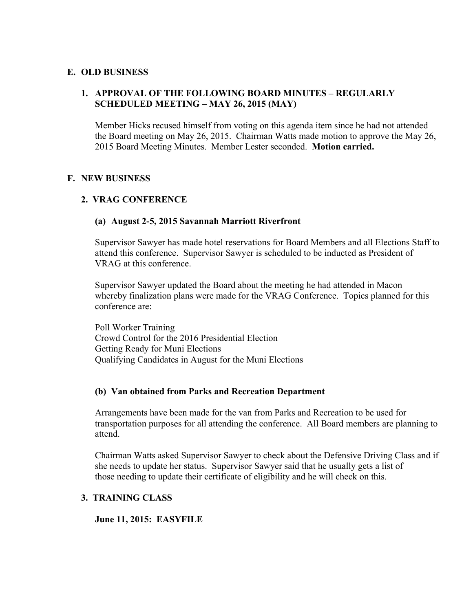### **E. OLD BUSINESS**

### **1. APPROVAL OF THE FOLLOWING BOARD MINUTES – REGULARLY SCHEDULED MEETING – MAY 26, 2015 (MAY)**

Member Hicks recused himself from voting on this agenda item since he had not attended the Board meeting on May 26, 2015. Chairman Watts made motion to approve the May 26, 2015 Board Meeting Minutes. Member Lester seconded. **Motion carried.**

### **F. NEW BUSINESS**

### **2. VRAG CONFERENCE**

#### **(a) August 2-5, 2015 Savannah Marriott Riverfront**

Supervisor Sawyer has made hotel reservations for Board Members and all Elections Staff to attend this conference. Supervisor Sawyer is scheduled to be inducted as President of VRAG at this conference.

Supervisor Sawyer updated the Board about the meeting he had attended in Macon whereby finalization plans were made for the VRAG Conference. Topics planned for this conference are:

Poll Worker Training Crowd Control for the 2016 Presidential Election Getting Ready for Muni Elections Qualifying Candidates in August for the Muni Elections

#### **(b) Van obtained from Parks and Recreation Department**

Arrangements have been made for the van from Parks and Recreation to be used for transportation purposes for all attending the conference. All Board members are planning to attend.

Chairman Watts asked Supervisor Sawyer to check about the Defensive Driving Class and if she needs to update her status. Supervisor Sawyer said that he usually gets a list of those needing to update their certificate of eligibility and he will check on this.

## **3. TRAINING CLASS**

**June 11, 2015: EASYFILE**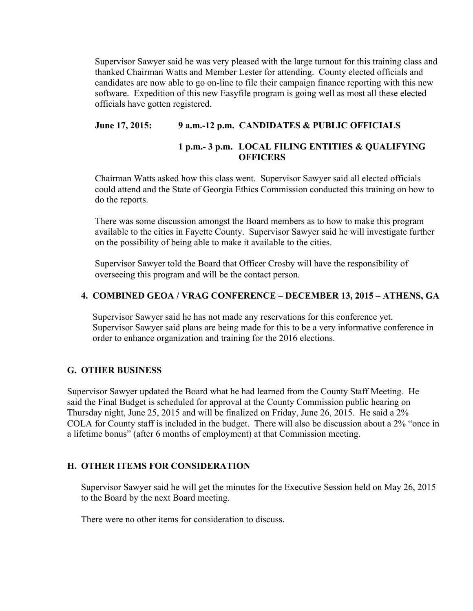Supervisor Sawyer said he was very pleased with the large turnout for this training class and thanked Chairman Watts and Member Lester for attending. County elected officials and candidates are now able to go on-line to file their campaign finance reporting with this new software. Expedition of this new Easyfile program is going well as most all these elected officials have gotten registered.

## **June 17, 2015: 9 a.m.-12 p.m. CANDIDATES & PUBLIC OFFICIALS**

## **1 p.m.- 3 p.m. LOCAL FILING ENTITIES & QUALIFYING OFFICERS**

Chairman Watts asked how this class went. Supervisor Sawyer said all elected officials could attend and the State of Georgia Ethics Commission conducted this training on how to do the reports.

There was some discussion amongst the Board members as to how to make this program available to the cities in Fayette County. Supervisor Sawyer said he will investigate further on the possibility of being able to make it available to the cities.

Supervisor Sawyer told the Board that Officer Crosby will have the responsibility of overseeing this program and will be the contact person.

## **4. COMBINED GEOA / VRAG CONFERENCE – DECEMBER 13, 2015 – ATHENS, GA**

 Supervisor Sawyer said he has not made any reservations for this conference yet. Supervisor Sawyer said plans are being made for this to be a very informative conference in order to enhance organization and training for the 2016 elections.

## **G. OTHER BUSINESS**

Supervisor Sawyer updated the Board what he had learned from the County Staff Meeting. He said the Final Budget is scheduled for approval at the County Commission public hearing on Thursday night, June 25, 2015 and will be finalized on Friday, June 26, 2015. He said a 2% COLA for County staff is included in the budget. There will also be discussion about a 2% "once in a lifetime bonus" (after 6 months of employment) at that Commission meeting.

## **H. OTHER ITEMS FOR CONSIDERATION**

Supervisor Sawyer said he will get the minutes for the Executive Session held on May 26, 2015 to the Board by the next Board meeting.

There were no other items for consideration to discuss.